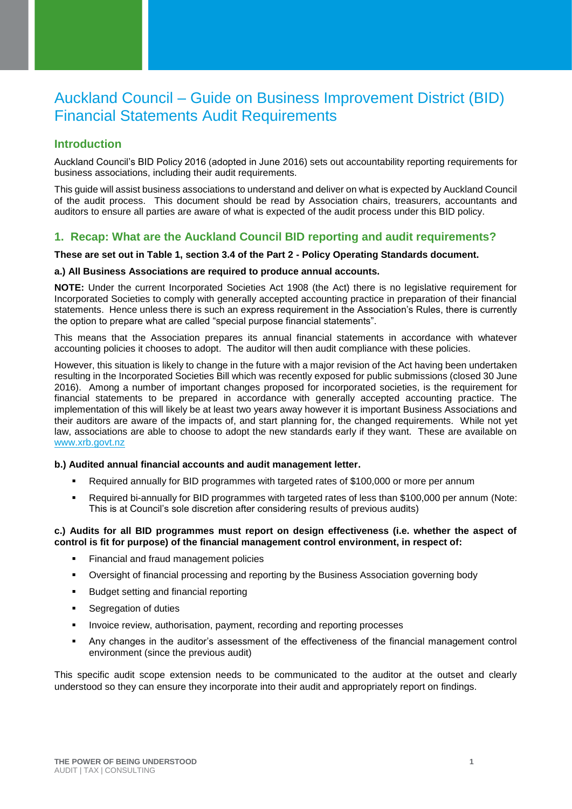# Auckland Council – Guide on Business Improvement District (BID) Financial Statements Audit Requirements

# **Introduction**

Auckland Council's BID Policy 2016 (adopted in June 2016) sets out accountability reporting requirements for business associations, including their audit requirements.

This guide will assist business associations to understand and deliver on what is expected by Auckland Council of the audit process. This document should be read by Association chairs, treasurers, accountants and auditors to ensure all parties are aware of what is expected of the audit process under this BID policy.

### **1. Recap: What are the Auckland Council BID reporting and audit requirements?**

### **These are set out in Table 1, section 3.4 of the Part 2 - Policy Operating Standards document.**

### **a.) All Business Associations are required to produce annual accounts.**

**NOTE:** Under the current Incorporated Societies Act 1908 (the Act) there is no legislative requirement for Incorporated Societies to comply with generally accepted accounting practice in preparation of their financial statements. Hence unless there is such an express requirement in the Association's Rules, there is currently the option to prepare what are called "special purpose financial statements".

This means that the Association prepares its annual financial statements in accordance with whatever accounting policies it chooses to adopt. The auditor will then audit compliance with these policies.

However, this situation is likely to change in the future with a major revision of the Act having been undertaken resulting in the Incorporated Societies Bill which was recently exposed for public submissions (closed 30 June 2016). Among a number of important changes proposed for incorporated societies, is the requirement for financial statements to be prepared in accordance with generally accepted accounting practice. The implementation of this will likely be at least two years away however it is important Business Associations and their auditors are aware of the impacts of, and start planning for, the changed requirements. While not yet law, associations are able to choose to adopt the new standards early if they want. These are available on <www.xrb.govt.nz>

### **b.) Audited annual financial accounts and audit management letter.**

- Required annually for BID programmes with targeted rates of \$100,000 or more per annum
- Required bi-annually for BID programmes with targeted rates of less than \$100,000 per annum (Note: This is at Council's sole discretion after considering results of previous audits)

### **c.) Audits for all BID programmes must report on design effectiveness (i.e. whether the aspect of control is fit for purpose) of the financial management control environment, in respect of:**

- Financial and fraud management policies
- Oversight of financial processing and reporting by the Business Association governing body
- **Budget setting and financial reporting**
- **Segregation of duties**
- **Invoice review, authorisation, payment, recording and reporting processes**
- Any changes in the auditor's assessment of the effectiveness of the financial management control environment (since the previous audit)

This specific audit scope extension needs to be communicated to the auditor at the outset and clearly understood so they can ensure they incorporate into their audit and appropriately report on findings.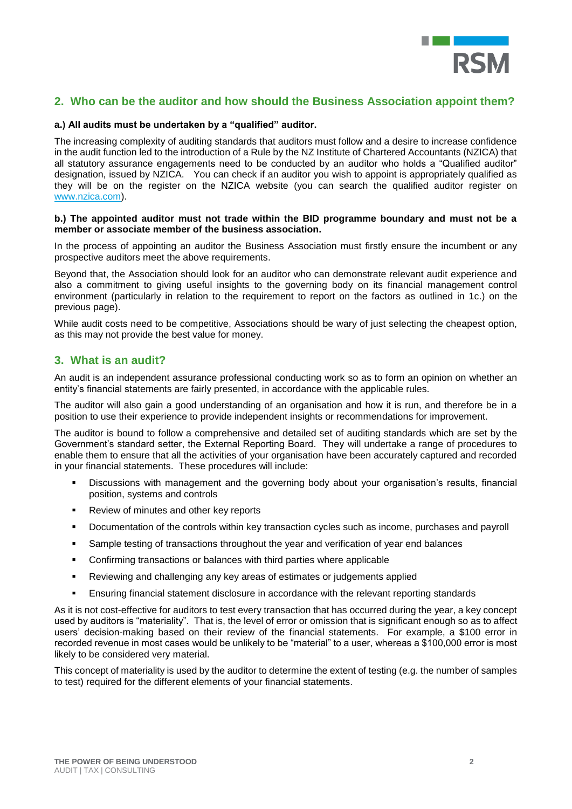

# **2. Who can be the auditor and how should the Business Association appoint them?**

#### **a.) All audits must be undertaken by a "qualified" auditor.**

The increasing complexity of auditing standards that auditors must follow and a desire to increase confidence in the audit function led to the introduction of a Rule by the NZ Institute of Chartered Accountants (NZICA) that all statutory assurance engagements need to be conducted by an auditor who holds a "Qualified auditor" designation, issued by NZICA. You can check if an auditor you wish to appoint is appropriately qualified as they will be on the register on the NZICA website (you can search the qualified auditor register on [www.nzica.com\)](www.nzica.com).

#### **b.) The appointed auditor must not trade within the BID programme boundary and must not be a member or associate member of the business association.**

In the process of appointing an auditor the Business Association must firstly ensure the incumbent or any prospective auditors meet the above requirements.

Beyond that, the Association should look for an auditor who can demonstrate relevant audit experience and also a commitment to giving useful insights to the governing body on its financial management control environment (particularly in relation to the requirement to report on the factors as outlined in 1c.) on the previous page).

While audit costs need to be competitive. Associations should be wary of just selecting the cheapest option, as this may not provide the best value for money.

### **3. What is an audit?**

An audit is an independent assurance professional conducting work so as to form an opinion on whether an entity's financial statements are fairly presented, in accordance with the applicable rules.

The auditor will also gain a good understanding of an organisation and how it is run, and therefore be in a position to use their experience to provide independent insights or recommendations for improvement.

The auditor is bound to follow a comprehensive and detailed set of auditing standards which are set by the Government's standard setter, the External Reporting Board. They will undertake a range of procedures to enable them to ensure that all the activities of your organisation have been accurately captured and recorded in your financial statements. These procedures will include:

- Discussions with management and the governing body about your organisation's results, financial position, systems and controls
- **Review of minutes and other key reports**
- Documentation of the controls within key transaction cycles such as income, purchases and payroll
- Sample testing of transactions throughout the year and verification of year end balances
- Confirming transactions or balances with third parties where applicable
- Reviewing and challenging any key areas of estimates or judgements applied
- Ensuring financial statement disclosure in accordance with the relevant reporting standards

As it is not cost-effective for auditors to test every transaction that has occurred during the year, a key concept used by auditors is "materiality". That is, the level of error or omission that is significant enough so as to affect users' decision-making based on their review of the financial statements. For example, a \$100 error in recorded revenue in most cases would be unlikely to be "material" to a user, whereas a \$100,000 error is most likely to be considered very material.

This concept of materiality is used by the auditor to determine the extent of testing (e.g. the number of samples to test) required for the different elements of your financial statements.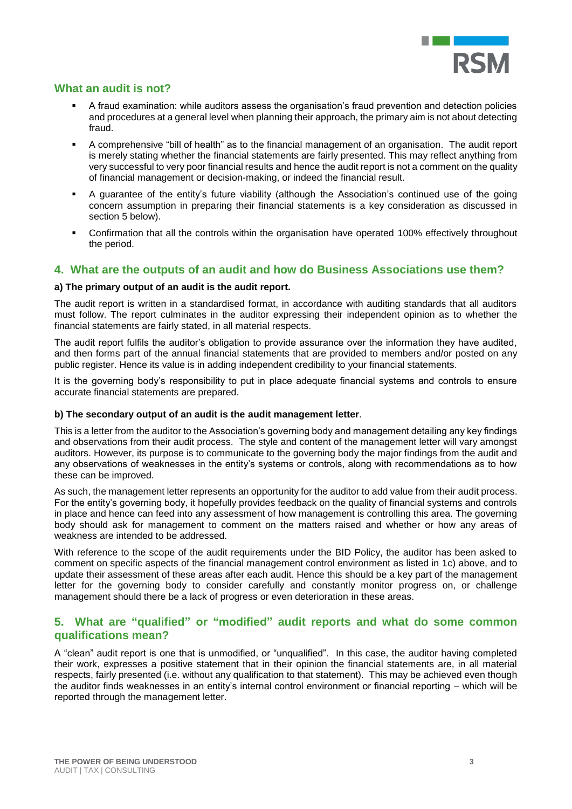

# **What an audit is not?**

- A fraud examination: while auditors assess the organisation's fraud prevention and detection policies and procedures at a general level when planning their approach, the primary aim is not about detecting fraud.
- A comprehensive "bill of health" as to the financial management of an organisation. The audit report is merely stating whether the financial statements are fairly presented. This may reflect anything from very successful to very poor financial results and hence the audit report is not a comment on the quality of financial management or decision-making, or indeed the financial result.
- A guarantee of the entity's future viability (although the Association's continued use of the going concern assumption in preparing their financial statements is a key consideration as discussed in section 5 below).
- Confirmation that all the controls within the organisation have operated 100% effectively throughout the period.

### **4. What are the outputs of an audit and how do Business Associations use them?**

### **a) The primary output of an audit is the audit report.**

The audit report is written in a standardised format, in accordance with auditing standards that all auditors must follow. The report culminates in the auditor expressing their independent opinion as to whether the financial statements are fairly stated, in all material respects.

The audit report fulfils the auditor's obligation to provide assurance over the information they have audited, and then forms part of the annual financial statements that are provided to members and/or posted on any public register. Hence its value is in adding independent credibility to your financial statements.

It is the governing body's responsibility to put in place adequate financial systems and controls to ensure accurate financial statements are prepared.

### **b) The secondary output of an audit is the audit management letter**.

This is a letter from the auditor to the Association's governing body and management detailing any key findings and observations from their audit process. The style and content of the management letter will vary amongst auditors. However, its purpose is to communicate to the governing body the major findings from the audit and any observations of weaknesses in the entity's systems or controls, along with recommendations as to how these can be improved.

As such, the management letter represents an opportunity for the auditor to add value from their audit process. For the entity's governing body, it hopefully provides feedback on the quality of financial systems and controls in place and hence can feed into any assessment of how management is controlling this area. The governing body should ask for management to comment on the matters raised and whether or how any areas of weakness are intended to be addressed.

With reference to the scope of the audit requirements under the BID Policy, the auditor has been asked to comment on specific aspects of the financial management control environment as listed in 1c) above, and to update their assessment of these areas after each audit. Hence this should be a key part of the management letter for the governing body to consider carefully and constantly monitor progress on, or challenge management should there be a lack of progress or even deterioration in these areas.

### **5. What are "qualified" or "modified" audit reports and what do some common qualifications mean?**

A "clean" audit report is one that is unmodified, or "unqualified". In this case, the auditor having completed their work, expresses a positive statement that in their opinion the financial statements are, in all material respects, fairly presented (i.e. without any qualification to that statement). This may be achieved even though the auditor finds weaknesses in an entity's internal control environment or financial reporting – which will be reported through the management letter.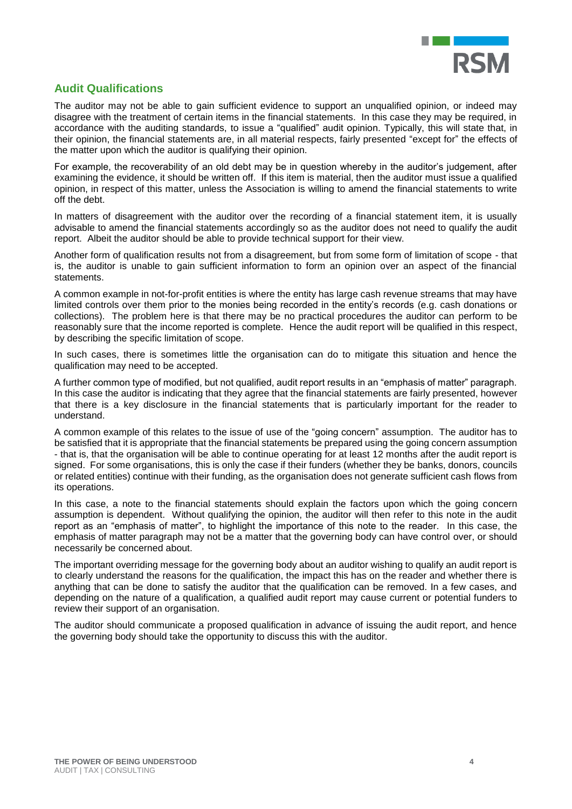

# **Audit Qualifications**

The auditor may not be able to gain sufficient evidence to support an unqualified opinion, or indeed may disagree with the treatment of certain items in the financial statements. In this case they may be required, in accordance with the auditing standards, to issue a "qualified" audit opinion. Typically, this will state that, in their opinion, the financial statements are, in all material respects, fairly presented "except for" the effects of the matter upon which the auditor is qualifying their opinion.

For example, the recoverability of an old debt may be in question whereby in the auditor's judgement, after examining the evidence, it should be written off. If this item is material, then the auditor must issue a qualified opinion, in respect of this matter, unless the Association is willing to amend the financial statements to write off the debt.

In matters of disagreement with the auditor over the recording of a financial statement item, it is usually advisable to amend the financial statements accordingly so as the auditor does not need to qualify the audit report. Albeit the auditor should be able to provide technical support for their view.

Another form of qualification results not from a disagreement, but from some form of limitation of scope - that is, the auditor is unable to gain sufficient information to form an opinion over an aspect of the financial statements.

A common example in not-for-profit entities is where the entity has large cash revenue streams that may have limited controls over them prior to the monies being recorded in the entity's records (e.g. cash donations or collections). The problem here is that there may be no practical procedures the auditor can perform to be reasonably sure that the income reported is complete. Hence the audit report will be qualified in this respect, by describing the specific limitation of scope.

In such cases, there is sometimes little the organisation can do to mitigate this situation and hence the qualification may need to be accepted.

A further common type of modified, but not qualified, audit report results in an "emphasis of matter" paragraph. In this case the auditor is indicating that they agree that the financial statements are fairly presented, however that there is a key disclosure in the financial statements that is particularly important for the reader to understand.

A common example of this relates to the issue of use of the "going concern" assumption. The auditor has to be satisfied that it is appropriate that the financial statements be prepared using the going concern assumption - that is, that the organisation will be able to continue operating for at least 12 months after the audit report is signed. For some organisations, this is only the case if their funders (whether they be banks, donors, councils or related entities) continue with their funding, as the organisation does not generate sufficient cash flows from its operations.

In this case, a note to the financial statements should explain the factors upon which the going concern assumption is dependent. Without qualifying the opinion, the auditor will then refer to this note in the audit report as an "emphasis of matter", to highlight the importance of this note to the reader. In this case, the emphasis of matter paragraph may not be a matter that the governing body can have control over, or should necessarily be concerned about.

The important overriding message for the governing body about an auditor wishing to qualify an audit report is to clearly understand the reasons for the qualification, the impact this has on the reader and whether there is anything that can be done to satisfy the auditor that the qualification can be removed. In a few cases, and depending on the nature of a qualification, a qualified audit report may cause current or potential funders to review their support of an organisation.

The auditor should communicate a proposed qualification in advance of issuing the audit report, and hence the governing body should take the opportunity to discuss this with the auditor.